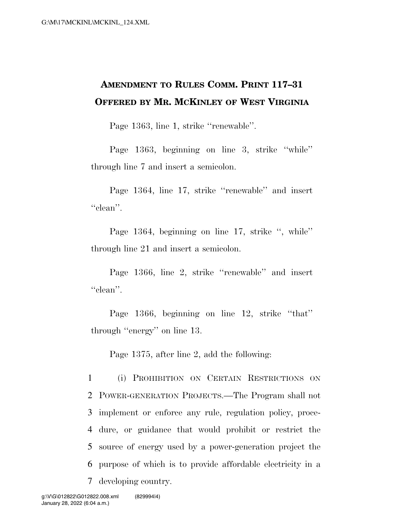## **AMENDMENT TO RULES COMM. PRINT 117–31 OFFERED BY MR. MCKINLEY OF WEST VIRGINIA**

Page 1363, line 1, strike ''renewable''.

Page 1363, beginning on line 3, strike ''while'' through line 7 and insert a semicolon.

Page 1364, line 17, strike ''renewable'' and insert ''clean''.

Page 1364, beginning on line 17, strike ", while" through line 21 and insert a semicolon.

Page 1366, line 2, strike ''renewable'' and insert "clean".

Page 1366, beginning on line 12, strike ''that'' through ''energy'' on line 13.

Page 1375, after line 2, add the following:

 (i) PROHIBITION ON CERTAIN RESTRICTIONS ON POWER-GENERATION PROJECTS.—The Program shall not implement or enforce any rule, regulation policy, proce- dure, or guidance that would prohibit or restrict the source of energy used by a power-generation project the purpose of which is to provide affordable electricity in a developing country.